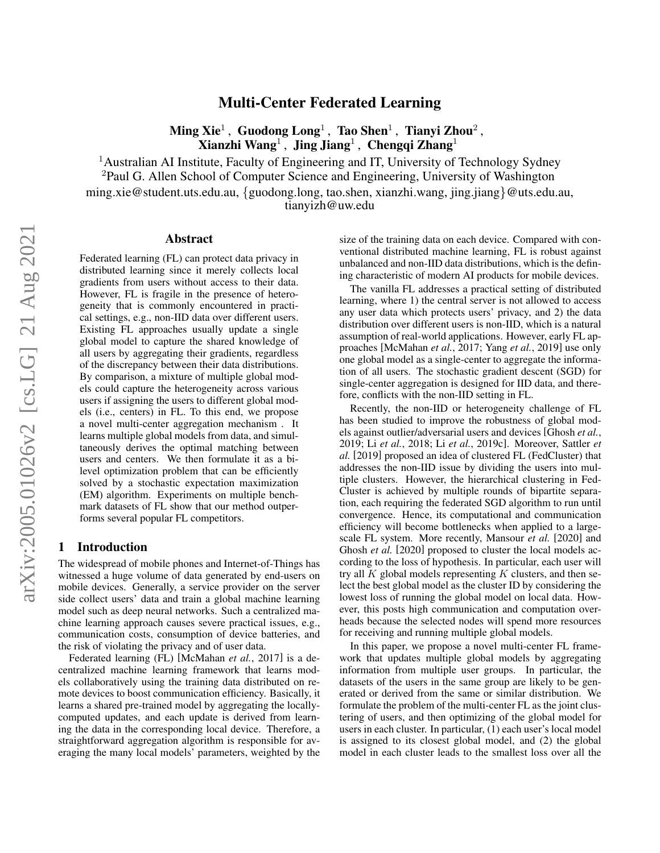# Multi-Center Federated Learning

 $\mathbf{Ming\ }\mathbf{Xie}^{1}\, ,\ \mathbf{Guodong\ } \mathbf{Long}^{1}\, ,\ \mathbf{Tao\ } \mathbf{Shen}^{1}\, ,\ \mathbf{Tianyi\ }\mathbf{Zhou}^{2}\, ,$ Xianzhi Wang<sup>1</sup>, Jing Jiang<sup>1</sup>, Chengqi Zhang<sup>1</sup>

<sup>1</sup>Australian AI Institute, Faculty of Engineering and IT, University of Technology Sydney

<sup>2</sup>Paul G. Allen School of Computer Science and Engineering, University of Washington

ming.xie@student.uts.edu.au, {guodong.long, tao.shen, xianzhi.wang, jing.jiang}@uts.edu.au,

tianyizh@uw.edu

#### Abstract

Federated learning (FL) can protect data privacy in distributed learning since it merely collects local gradients from users without access to their data. However, FL is fragile in the presence of heterogeneity that is commonly encountered in practical settings, e.g., non-IID data over different users. Existing FL approaches usually update a single global model to capture the shared knowledge of all users by aggregating their gradients, regardless of the discrepancy between their data distributions. By comparison, a mixture of multiple global models could capture the heterogeneity across various users if assigning the users to different global models (i.e., centers) in FL. To this end, we propose a novel multi-center aggregation mechanism . It learns multiple global models from data, and simultaneously derives the optimal matching between users and centers. We then formulate it as a bilevel optimization problem that can be efficiently solved by a stochastic expectation maximization (EM) algorithm. Experiments on multiple benchmark datasets of FL show that our method outperforms several popular FL competitors.

### 1 Introduction

The widespread of mobile phones and Internet-of-Things has witnessed a huge volume of data generated by end-users on mobile devices. Generally, a service provider on the server side collect users' data and train a global machine learning model such as deep neural networks. Such a centralized machine learning approach causes severe practical issues, e.g., communication costs, consumption of device batteries, and the risk of violating the privacy and of user data.

Federated learning (FL) [\[McMahan](#page-7-0) *et al.*, 2017] is a decentralized machine learning framework that learns models collaboratively using the training data distributed on remote devices to boost communication efficiency. Basically, it learns a shared pre-trained model by aggregating the locallycomputed updates, and each update is derived from learning the data in the corresponding local device. Therefore, a straightforward aggregation algorithm is responsible for averaging the many local models' parameters, weighted by the size of the training data on each device. Compared with conventional distributed machine learning, FL is robust against unbalanced and non-IID data distributions, which is the defining characteristic of modern AI products for mobile devices.

The vanilla FL addresses a practical setting of distributed learning, where 1) the central server is not allowed to access any user data which protects users' privacy, and 2) the data distribution over different users is non-IID, which is a natural assumption of real-world applications. However, early FL approaches [\[McMahan](#page-7-0) *et al.*, 2017; Yang *et al.*[, 2019\]](#page-8-0) use only one global model as a single-center to aggregate the information of all users. The stochastic gradient descent (SGD) for single-center aggregation is designed for IID data, and therefore, conflicts with the non-IID setting in FL.

Recently, the non-IID or heterogeneity challenge of FL has been studied to improve the robustness of global models against outlier/adversarial users and devices [\[Ghosh](#page-7-1) *et al.*, [2019;](#page-7-1) Li *et al.*[, 2018;](#page-7-2) Li *et al.*[, 2019c\]](#page-7-3). Moreover, [Sattler](#page-8-1) *et [al.](#page-8-1)* [\[2019\]](#page-8-1) proposed an idea of clustered FL (FedCluster) that addresses the non-IID issue by dividing the users into multiple clusters. However, the hierarchical clustering in Fed-Cluster is achieved by multiple rounds of bipartite separation, each requiring the federated SGD algorithm to run until convergence. Hence, its computational and communication efficiency will become bottlenecks when applied to a largescale FL system. More recently, [Mansour](#page-7-4) *et al.* [\[2020\]](#page-7-4) and [Ghosh](#page-7-5) *et al.* [\[2020\]](#page-7-5) proposed to cluster the local models according to the loss of hypothesis. In particular, each user will try all  $K$  global models representing  $K$  clusters, and then select the best global model as the cluster ID by considering the lowest loss of running the global model on local data. However, this posts high communication and computation overheads because the selected nodes will spend more resources for receiving and running multiple global models.

In this paper, we propose a novel multi-center FL framework that updates multiple global models by aggregating information from multiple user groups. In particular, the datasets of the users in the same group are likely to be generated or derived from the same or similar distribution. We formulate the problem of the multi-center FL as the joint clustering of users, and then optimizing of the global model for users in each cluster. In particular, (1) each user's local model is assigned to its closest global model, and (2) the global model in each cluster leads to the smallest loss over all the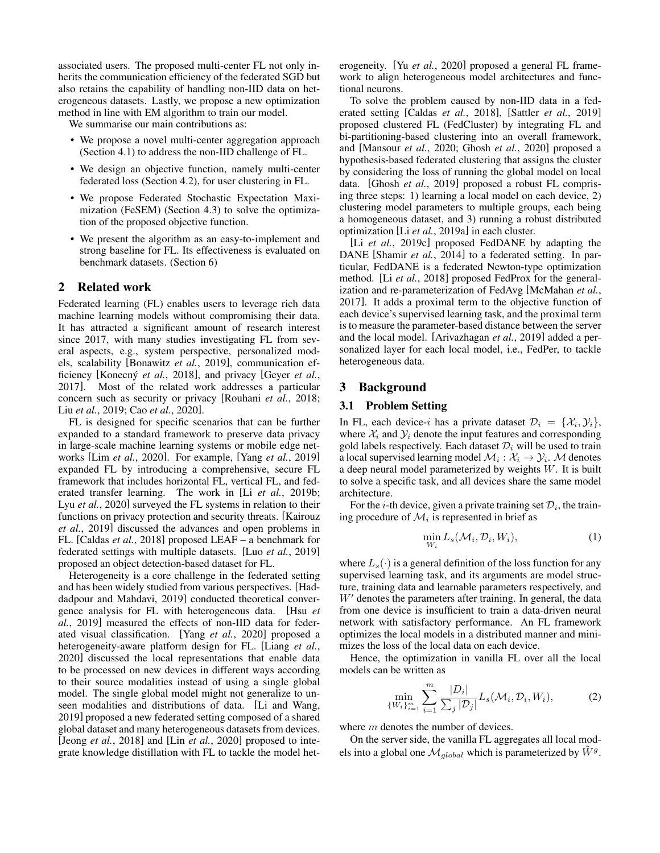associated users. The proposed multi-center FL not only inherits the communication efficiency of the federated SGD but also retains the capability of handling non-IID data on heterogeneous datasets. Lastly, we propose a new optimization method in line with EM algorithm to train our model.

We summarise our main contributions as:

- We propose a novel multi-center aggregation approach (Section [4.1\)](#page-2-0) to address the non-IID challenge of FL.
- We design an objective function, namely multi-center federated loss (Section [4.2\)](#page-3-0), for user clustering in FL.
- We propose Federated Stochastic Expectation Maximization (FeSEM) (Section [4.3\)](#page-3-1) to solve the optimization of the proposed objective function.
- We present the algorithm as an easy-to-implement and strong baseline for FL. Its effectiveness is evaluated on benchmark datasets. (Section [6\)](#page-4-0)

# 2 Related work

Federated learning (FL) enables users to leverage rich data machine learning models without compromising their data. It has attracted a significant amount of research interest since 2017, with many studies investigating FL from several aspects, e.g., system perspective, personalized models, scalability [\[Bonawitz](#page-6-0) *et al.*, 2019], communication efficiency [Konecný *et al.*, 2018], and privacy [\[Geyer](#page-7-7) *et al.*, [2017\]](#page-7-7). Most of the related work addresses a particular concern such as security or privacy [\[Rouhani](#page-7-8) *et al.*, 2018; Liu *et al.*[, 2019;](#page-7-9) Cao *et al.*[, 2020\]](#page-6-1).

FL is designed for specific scenarios that can be further expanded to a standard framework to preserve data privacy in large-scale machine learning systems or mobile edge networks [Lim *et al.*[, 2020\]](#page-7-10). For example, [Yang *et al.*[, 2019\]](#page-8-0) expanded FL by introducing a comprehensive, secure FL framework that includes horizontal FL, vertical FL, and federated transfer learning. The work in [Li *et al.*[, 2019b;](#page-7-11) Lyu *et al.*[, 2020\]](#page-7-12) surveyed the FL systems in relation to their functions on privacy protection and security threats. [\[Kairouz](#page-7-13) *et al.*[, 2019\]](#page-7-13) discussed the advances and open problems in FL. [\[Caldas](#page-6-2) *et al.*, 2018] proposed LEAF – a benchmark for federated settings with multiple datasets. [Luo *et al.*[, 2019\]](#page-7-14) proposed an object detection-based dataset for FL.

Heterogeneity is a core challenge in the federated setting and has been widely studied from various perspectives. [\[Had](#page-7-15)[dadpour and Mahdavi, 2019\]](#page-7-15) conducted theoretical convergence analysis for FL with heterogeneous data. [\[Hsu](#page-7-16) *et al.*[, 2019\]](#page-7-16) measured the effects of non-IID data for federated visual classification. [Yang *et al.*[, 2020\]](#page-8-2) proposed a heterogeneity-aware platform design for FL. [\[Liang](#page-7-17) *et al.*, [2020\]](#page-7-17) discussed the local representations that enable data to be processed on new devices in different ways according to their source modalities instead of using a single global model. The single global model might not generalize to unseen modalities and distributions of data. [\[Li and Wang,](#page-7-18) [2019\]](#page-7-18) proposed a new federated setting composed of a shared global dataset and many heterogeneous datasets from devices. [Jeong *et al.*[, 2018\]](#page-7-19) and [Lin *et al.*[, 2020\]](#page-7-20) proposed to integrate knowledge distillation with FL to tackle the model heterogeneity. [Yu *et al.*[, 2020\]](#page-8-3) proposed a general FL framework to align heterogeneous model architectures and functional neurons.

To solve the problem caused by non-IID data in a federated setting [Caldas *et al.*[, 2018\]](#page-6-2), [Sattler *et al.*[, 2019\]](#page-8-1) proposed clustered FL (FedCluster) by integrating FL and bi-partitioning-based clustering into an overall framework, and [\[Mansour](#page-7-4) *et al.*, 2020; Ghosh *et al.*[, 2020\]](#page-7-5) proposed a hypothesis-based federated clustering that assigns the cluster by considering the loss of running the global model on local data. [Ghosh *et al.*[, 2019\]](#page-7-1) proposed a robust FL comprising three steps: 1) learning a local model on each device, 2) clustering model parameters to multiple groups, each being a homogeneous dataset, and 3) running a robust distributed optimization [Li *et al.*[, 2019a\]](#page-7-21) in each cluster.

[Li *et al.*[, 2019c\]](#page-7-3) proposed FedDANE by adapting the DANE [\[Shamir](#page-8-4) *et al.*, 2014] to a federated setting. In particular, FedDANE is a federated Newton-type optimization method. [Li *et al.*[, 2018\]](#page-7-2) proposed FedProx for the generalization and re-parameterization of FedAvg [\[McMahan](#page-7-0) *et al.*, [2017\]](#page-7-0). It adds a proximal term to the objective function of each device's supervised learning task, and the proximal term is to measure the parameter-based distance between the server and the local model. [\[Arivazhagan](#page-6-3) *et al.*, 2019] added a personalized layer for each local model, i.e., FedPer, to tackle heterogeneous data.

# 3 Background

#### 3.1 Problem Setting

In FL, each device-i has a private dataset  $\mathcal{D}_i = \{X_i, Y_i\},\$ where  $\mathcal{X}_i$  and  $\mathcal{Y}_i$  denote the input features and corresponding gold labels respectively. Each dataset  $\mathcal{D}_i$  will be used to train a local supervised learning model  $\mathcal{M}_i : \mathcal{X}_i \to \mathcal{Y}_i$ . M denotes a deep neural model parameterized by weights W. It is built to solve a specific task, and all devices share the same model architecture.

For the *i*-th device, given a private training set  $\mathcal{D}_i$ , the training procedure of  $\mathcal{M}_i$  is represented in brief as

$$
\min_{W_i} L_s(\mathcal{M}_i, \mathcal{D}_i, W_i),\tag{1}
$$

where  $L_s(\cdot)$  is a general definition of the loss function for any supervised learning task, and its arguments are model structure, training data and learnable parameters respectively, and  $W'$  denotes the parameters after training. In general, the data from one device is insufficient to train a data-driven neural network with satisfactory performance. An FL framework optimizes the local models in a distributed manner and minimizes the loss of the local data on each device.

Hence, the optimization in vanilla FL over all the local models can be written as

<span id="page-1-0"></span>
$$
\min_{\{W_i\}_{i=1}^m} \sum_{i=1}^m \frac{|D_i|}{\sum_j |\mathcal{D}_j|} L_s(\mathcal{M}_i, \mathcal{D}_i, W_i),
$$
 (2)

where m denotes the number of devices.

On the server side, the vanilla FL aggregates all local models into a global one  $\mathcal{M}_{global}$  which is parameterized by  $\tilde{W}^{g}$ .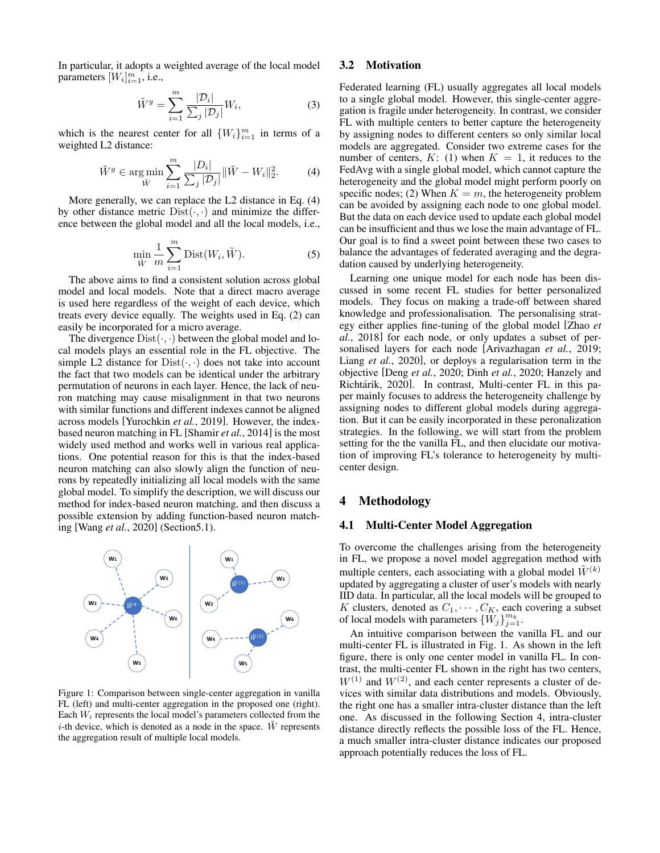In particular, it adopts a weighted average of the local model parameters  $[W_i]_{i=1}^m$ , i.e.,

<span id="page-2-1"></span>
$$
\tilde{W}^g = \sum_{i=1}^m \frac{|\mathcal{D}_i|}{\sum_j |\mathcal{D}_j|} W_i,\tag{3}
$$

which is the nearest center for all  $\{W_i\}_{i=1}^m$  in terms of a weighted L2 distance:

$$
\tilde{W}^{g} \in \underset{\tilde{W}}{\text{arg min}} \sum_{i=1}^{m} \frac{|D_{i}|}{\sum_{j} |\mathcal{D}_{j}|} \|\tilde{W} - W_{i}\|_{2}^{2}.
$$
 (4)

More generally, we can replace the L2 distance in Eq. [\(4\)](#page-2-1) by other distance metric  $Dist(\cdot, \cdot)$  and minimize the difference between the global model and all the local models, i.e.,

$$
\min_{\tilde{W}} \frac{1}{m} \sum_{i=1}^{m} \text{Dist}(W_i, \tilde{W}).
$$
\n(5)

The above aims to find a consistent solution across global model and local models. Note that a direct macro average is used here regardless of the weight of each device, which treats every device equally. The weights used in Eq. [\(2\)](#page-1-0) can easily be incorporated for a micro average.

The divergence  $Dist(\cdot, \cdot)$  between the global model and local models plays an essential role in the FL objective. The simple L2 distance for  $Dist(\cdot, \cdot)$  does not take into account the fact that two models can be identical under the arbitrary permutation of neurons in each layer. Hence, the lack of neuron matching may cause misalignment in that two neurons with similar functions and different indexes cannot be aligned across models [\[Yurochkin](#page-8-5) *et al.*, 2019]. However, the indexbased neuron matching in FL [\[Shamir](#page-8-4) *et al.*, 2014] is the most widely used method and works well in various real applications. One potential reason for this is that the index-based neuron matching can also slowly align the function of neurons by repeatedly initializing all local models with the same global model. To simplify the description, we will discuss our method for index-based neuron matching, and then discuss a possible extension by adding function-based neuron matching [Wang *et al.*[, 2020\]](#page-8-6) (Sectio[n5.1\)](#page-4-1).

<span id="page-2-2"></span>

Figure 1: Comparison between single-center aggregation in vanilla FL (left) and multi-center aggregation in the proposed one (right). Each  $W_i$  represents the local model's parameters collected from the *i*-th device, which is denoted as a node in the space.  $\tilde{W}$  represents the aggregation result of multiple local models.

#### 3.2 Motivation

Federated learning (FL) usually aggregates all local models to a single global model. However, this single-center aggregation is fragile under heterogeneity. In contrast, we consider FL with multiple centers to better capture the heterogeneity by assigning nodes to different centers so only similar local models are aggregated. Consider two extreme cases for the number of centers,  $K: (1)$  when  $K = 1$ , it reduces to the FedAvg with a single global model, which cannot capture the heterogeneity and the global model might perform poorly on specific nodes; (2) When  $K = m$ , the heterogeneity problem can be avoided by assigning each node to one global model. But the data on each device used to update each global model can be insufficient and thus we lose the main advantage of FL. Our goal is to find a sweet point between these two cases to balance the advantages of federated averaging and the degradation caused by underlying heterogeneity.

Learning one unique model for each node has been discussed in some recent FL studies for better personalized models. They focus on making a trade-off between shared knowledge and professionalisation. The personalising strategy either applies fine-tuning of the global model [\[Zhao](#page-8-7) *et al.*[, 2018\]](#page-8-7) for each node, or only updates a subset of personalised layers for each node [\[Arivazhagan](#page-6-3) *et al.*, 2019; Liang *et al.*[, 2020\]](#page-7-17), or deploys a regularisation term in the objective [Deng *et al.*[, 2020;](#page-6-4) Dinh *et al.*[, 2020;](#page-7-22) [Hanzely and](#page-7-23) Richtárik, 2020]. In contrast, Multi-center FL in this paper mainly focuses to address the heterogeneity challenge by assigning nodes to different global models during aggregation. But it can be easily incorporated in these peronalization strategies. In the following, we will start from the problem setting for the the vanilla FL, and then elucidate our motivation of improving FL's tolerance to heterogeneity by multicenter design.

# <span id="page-2-3"></span>4 Methodology

### <span id="page-2-0"></span>4.1 Multi-Center Model Aggregation

To overcome the challenges arising from the heterogeneity in FL, we propose a novel model aggregation method with multiple centers, each associating with a global model  $\tilde{W}^{(k)}$ updated by aggregating a cluster of user's models with nearly IID data. In particular, all the local models will be grouped to K clusters, denoted as  $C_1, \cdots, C_K$ , each covering a subset of local models with parameters  $\{W_j\}_{j=1}^{m_k}$ .

An intuitive comparison between the vanilla FL and our multi-center FL is illustrated in Fig. [1.](#page-2-2) As shown in the left figure, there is only one center model in vanilla FL. In contrast, the multi-center FL shown in the right has two centers,  $W^{(1)}$  and  $W^{(2)}$ , and each center represents a cluster of devices with similar data distributions and models. Obviously, the right one has a smaller intra-cluster distance than the left one. As discussed in the following Section [4,](#page-2-3) intra-cluster distance directly reflects the possible loss of the FL. Hence, a much smaller intra-cluster distance indicates our proposed approach potentially reduces the loss of FL.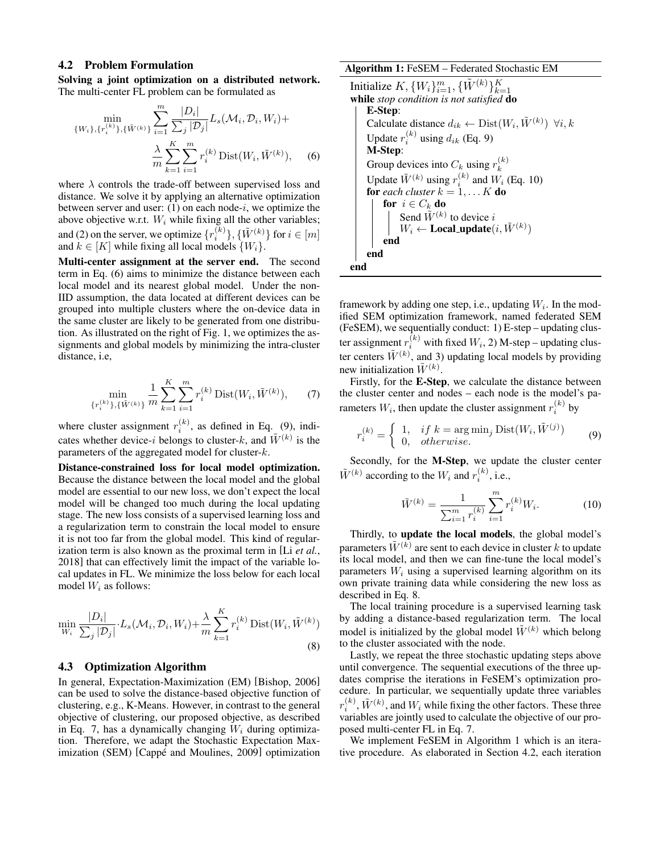#### <span id="page-3-0"></span>4.2 Problem Formulation

Solving a joint optimization on a distributed network. The multi-center FL problem can be formulated as

$$
\begin{aligned} \min_{\{W_i\}, \{r_i^{(k)}\}, \{\tilde{W}^{(k)}\}} &\sum_{i=1}^m \frac{|D_i|}{\sum_j |\mathcal{D}_j|} L_s(\mathcal{M}_i, \mathcal{D}_i, W_i) + \\ &\frac{\lambda}{m} \sum_{k=1}^K \sum_{i=1}^m r_i^{(k)} \operatorname{Dist}(W_i, \tilde{W}^{(k)}), \end{aligned} \tag{6}
$$

where  $\lambda$  controls the trade-off between supervised loss and distance. We solve it by applying an alternative optimization between server and user:  $(1)$  on each node-i, we optimize the above objective w.r.t.  $W_i$  while fixing all the other variables; and (2) on the server, we optimize  $\{r_i^{(k)}\}, \{\tilde{W}^{(k)}\}$  for  $i \in [m]$ and  $k \in [K]$  while fixing all local models  $\{W_i\}$ .

Multi-center assignment at the server end. The second term in Eq. [\(6\)](#page-3-2) aims to minimize the distance between each local model and its nearest global model. Under the non-IID assumption, the data located at different devices can be grouped into multiple clusters where the on-device data in the same cluster are likely to be generated from one distribution. As illustrated on the right of Fig. [1,](#page-2-2) we optimizes the assignments and global models by minimizing the intra-cluster distance, i.e,

$$
\min_{\{r_i^{(k)}\}, \{\tilde{W}^{(k)}\}} \frac{1}{m} \sum_{k=1}^K \sum_{i=1}^m r_i^{(k)} \text{Dist}(W_i, \tilde{W}^{(k)}), \qquad (7)
$$

where cluster assignment  $r_i^{(k)}$ , as defined in Eq. [\(9\)](#page-3-3), indicates whether device-i belongs to cluster-k, and  $\tilde{W}^{(k)}$  is the parameters of the aggregated model for cluster-k.

Distance-constrained loss for local model optimization. Because the distance between the local model and the global model are essential to our new loss, we don't expect the local model will be changed too much during the local updating stage. The new loss consists of a supervised learning loss and a regularization term to constrain the local model to ensure it is not too far from the global model. This kind of regularization term is also known as the proximal term in [Li *[et al.](#page-7-2)*, [2018\]](#page-7-2) that can effectively limit the impact of the variable local updates in FL. We minimize the loss below for each local model  $W_i$  as follows:

<span id="page-3-6"></span>
$$
\min_{W_i} \frac{|D_i|}{\sum_j |D_j|} \cdot L_s(\mathcal{M}_i, \mathcal{D}_i, W_i) + \frac{\lambda}{m} \sum_{k=1}^K r_i^{(k)} \text{Dist}(W_i, \tilde{W}^{(k)})
$$
\n(8)

#### <span id="page-3-1"></span>4.3 Optimization Algorithm

In general, Expectation-Maximization (EM) [\[Bishop, 2006\]](#page-6-5) can be used to solve the distance-based objective function of clustering, e.g., K-Means. However, in contrast to the general objective of clustering, our proposed objective, as described in Eq. [7,](#page-3-4) has a dynamically changing  $W_i$  during optimization. Therefore, we adapt the Stochastic Expectation Maximization (SEM) [Cappé and Moulines, 2009] optimization

#### Algorithm 1: FeSEM – Federated Stochastic EM

<span id="page-3-7"></span><span id="page-3-2"></span>Initialize 
$$
K, \{W_i\}_{i=1}^m, \{\tilde{W}^{(k)}\}_{k=1}^K
$$

\nwhile *stop condition is not satisfied* **do**

\n**E-Step:**

\nCalculate distance  $d_{ik} \leftarrow \text{Dist}(W_i, \tilde{W}^{(k)}) \forall i, k$ 

\nUpdate  $r_i^{(k)}$  using  $d_{ik}$  (Eq. 9)

\n**M-Step:**

\nGroup devices into  $C_k$  using  $r_k^{(k)}$ 

\nUpdate  $\tilde{W}^{(k)}$  using  $r_i^{(k)}$  and  $W_i$  (Eq. 10)

\nfor each cluster  $k = 1, \ldots K$  **do**

\nfor  $i \in C_k$  **do**

\n| Send  $\tilde{W}^{(k)}$  to device  $i$ 

\n|  $W_i \leftarrow \text{Local.update}(i, \tilde{W}^{(k)})$ 

\nend

\nend

\nend

framework by adding one step, i.e., updating  $W_i$ . In the modified SEM optimization framework, named federated SEM (FeSEM), we sequentially conduct: 1) E-step – updating cluster assignment  $r_i^{(k)}$  with fixed  $W_i$ , 2) M-step – updating cluster centers  $\tilde{W}^{(k)}$ , and 3) updating local models by providing new initialization  $\tilde{W}^{(k)}$ .

<span id="page-3-4"></span>Firstly, for the E-Step, we calculate the distance between the cluster center and nodes – each node is the model's parameters  $W_i$ , then update the cluster assignment  $r_i^{(k)}$  by

$$
r_i^{(k)} = \begin{cases} 1, & if \ k = \arg\min_j \text{Dist}(W_i, \tilde{W}^{(j)}) \\ 0, & otherwise. \end{cases}
$$
 (9)

Secondly, for the M-Step, we update the cluster center  $\tilde{W}^{(k)}$  according to the  $W_i$  and  $r_i^{(k)}$ , i.e.,

<span id="page-3-5"></span><span id="page-3-3"></span>
$$
\tilde{W}^{(k)} = \frac{1}{\sum_{i=1}^{m} r_i^{(k)}} \sum_{i=1}^{m} r_i^{(k)} W_i.
$$
 (10)

Thirdly, to update the local models, the global model's parameters  $\tilde{W}^{(k)}$  are sent to each device in cluster k to update its local model, and then we can fine-tune the local model's parameters  $W_i$  using a supervised learning algorithm on its own private training data while considering the new loss as described in Eq. [8.](#page-3-6)

The local training procedure is a supervised learning task by adding a distance-based regularization term. The local model is initialized by the global model  $\tilde{W}^{(k)}$  which belong to the cluster associated with the node.

Lastly, we repeat the three stochastic updating steps above until convergence. The sequential executions of the three updates comprise the iterations in FeSEM's optimization procedure. In particular, we sequentially update three variables  $r_i^{(k)}$ ,  $\tilde{W}^{(k)}$ , and  $W_i$  while fixing the other factors. These three variables are jointly used to calculate the objective of our proposed multi-center FL in Eq. [7.](#page-3-4)

We implement FeSEM in Algorithm [1](#page-3-7) which is an iterative procedure. As elaborated in Section [4.2,](#page-3-0) each iteration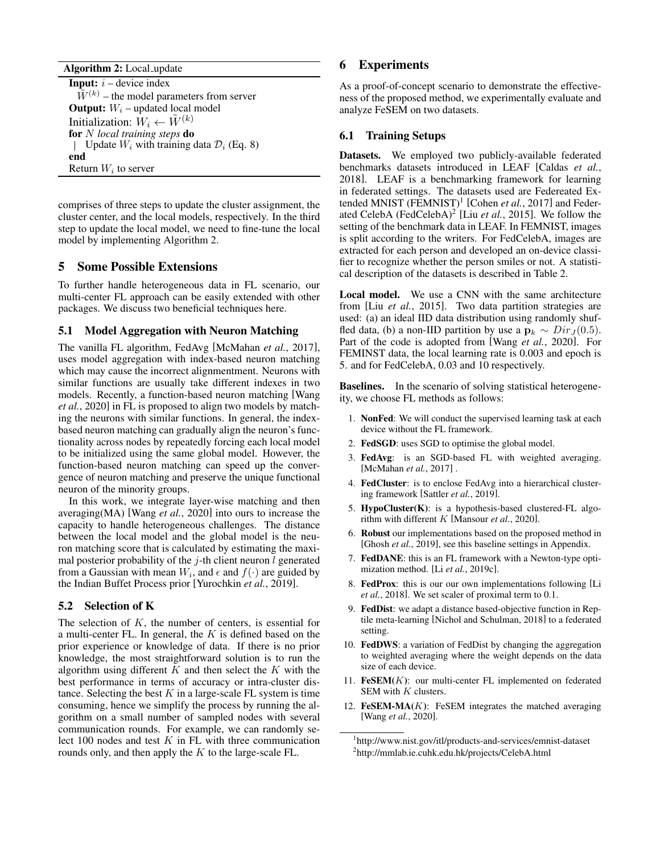Algorithm 2: Local\_update

<span id="page-4-2"></span>**Input:**  $i$  – device index  $\tilde{W}^{(k)}$  – the model parameters from server **Output:**  $W_i$  – updated local model Initialization:  $W_i \leftarrow \tilde{W}^{(k)}$ for N *local training steps* do | Update  $W_i$  with training data  $\mathcal{D}_i$  (Eq. [8\)](#page-3-6) end Return  $W_i$  to server

comprises of three steps to update the cluster assignment, the cluster center, and the local models, respectively. In the third step to update the local model, we need to fine-tune the local model by implementing Algorithm [2.](#page-4-2)

# 5 Some Possible Extensions

To further handle heterogeneous data in FL scenario, our multi-center FL approach can be easily extended with other packages. We discuss two beneficial techniques here.

### <span id="page-4-1"></span>5.1 Model Aggregation with Neuron Matching

The vanilla FL algorithm, FedAvg [\[McMahan](#page-7-0) *et al.*, 2017], uses model aggregation with index-based neuron matching which may cause the incorrect alignmentment. Neurons with similar functions are usually take different indexes in two models. Recently, a function-based neuron matching [\[Wang](#page-8-6) *et al.*[, 2020\]](#page-8-6) in FL is proposed to align two models by matching the neurons with similar functions. In general, the indexbased neuron matching can gradually align the neuron's functionality across nodes by repeatedly forcing each local model to be initialized using the same global model. However, the function-based neuron matching can speed up the convergence of neuron matching and preserve the unique functional neuron of the minority groups.

In this work, we integrate layer-wise matching and then averaging(MA) [Wang *et al.*[, 2020\]](#page-8-6) into ours to increase the capacity to handle heterogeneous challenges. The distance between the local model and the global model is the neuron matching score that is calculated by estimating the maximal posterior probability of the  $j$ -th client neuron l generated from a Gaussian with mean  $W_i$ , and  $\epsilon$  and  $f(\cdot)$  are guided by the Indian Buffet Process prior [\[Yurochkin](#page-8-5) *et al.*, 2019].

### 5.2 Selection of K

The selection of  $K$ , the number of centers, is essential for a multi-center FL. In general, the  $K$  is defined based on the prior experience or knowledge of data. If there is no prior knowledge, the most straightforward solution is to run the algorithm using different  $K$  and then select the  $K$  with the best performance in terms of accuracy or intra-cluster distance. Selecting the best  $K$  in a large-scale FL system is time consuming, hence we simplify the process by running the algorithm on a small number of sampled nodes with several communication rounds. For example, we can randomly select 100 nodes and test  $K$  in FL with three communication rounds only, and then apply the  $K$  to the large-scale FL.

# <span id="page-4-0"></span>6 Experiments

As a proof-of-concept scenario to demonstrate the effectiveness of the proposed method, we experimentally evaluate and analyze FeSEM on two datasets.

#### 6.1 Training Setups

Datasets. We employed two publicly-available federated benchmarks datasets introduced in LEAF [\[Caldas](#page-6-2) *et al.*, [2018\]](#page-6-2). LEAF is a benchmarking framework for learning in federated settings. The datasets used are Federeated Ex-tended MNIST (FEMNIST)<sup>[1](#page-4-3)</sup> [\[Cohen](#page-6-7) *et al.*, 2017] and Feder-ated CelebA (FedCelebA)<sup>[2](#page-4-4)</sup> [Liu et al.[, 2015\]](#page-7-24). We follow the setting of the benchmark data in LEAF. In FEMNIST, images is split according to the writers. For FedCelebA, images are extracted for each person and developed an on-device classifier to recognize whether the person smiles or not. A statistical description of the datasets is described in Table [2.](#page-5-0)

Local model. We use a CNN with the same architecture from [Liu *et al.*[, 2015\]](#page-7-24). Two data partition strategies are used: (a) an ideal IID data distribution using randomly shuffled data, (b) a non-IID partition by use a  $\mathbf{p}_k \sim Dir_J(0.5)$ . Part of the code is adopted from [Wang *et al.*[, 2020\]](#page-8-6). For FEMINST data, the local learning rate is 0.003 and epoch is 5. and for FedCelebA, 0.03 and 10 respectively.

Baselines. In the scenario of solving statistical heterogeneity, we choose FL methods as follows:

- 1. NonFed: We will conduct the supervised learning task at each device without the FL framework.
- 2. FedSGD: uses SGD to optimise the global model.
- 3. FedAvg: is an SGD-based FL with weighted averaging. [\[McMahan](#page-7-0) *et al.*, 2017] .
- 4. FedCluster: is to enclose FedAvg into a hierarchical clustering framework [\[Sattler](#page-8-1) *et al.*, 2019].
- 5. HypoCluster(K): is a hypothesis-based clustered-FL algorithm with different K [\[Mansour](#page-7-4) *et al.*, 2020].
- 6. Robust our implementations based on the proposed method in [\[Ghosh](#page-7-1) *et al.*, 2019], see this baseline settings in Appendix.
- 7. FedDANE: this is an FL framework with a Newton-type optimization method. [Li *et al.*[, 2019c\]](#page-7-3).
- 8. FedProx: this is our our own implementations following [\[Li](#page-7-2) *et al.*[, 2018\]](#page-7-2). We set scaler of proximal term to 0.1.
- 9. FedDist: we adapt a distance based-objective function in Reptile meta-learning [\[Nichol and Schulman, 2018\]](#page-7-25) to a federated setting.
- 10. FedDWS: a variation of FedDist by changing the aggregation to weighted averaging where the weight depends on the data size of each device.
- 11. **: our multi-center FL implemented on federated** SEM with  $K$  clusters.
- 12. FeSEM-MA $(K)$ : FeSEM integrates the matched averaging [Wang *et al.*[, 2020\]](#page-8-6).

<span id="page-4-4"></span><span id="page-4-3"></span><sup>1</sup> http://www.nist.gov/itl/products-and-services/emnist-dataset 2 <http://mmlab.ie.cuhk.edu.hk/projects/CelebA.html>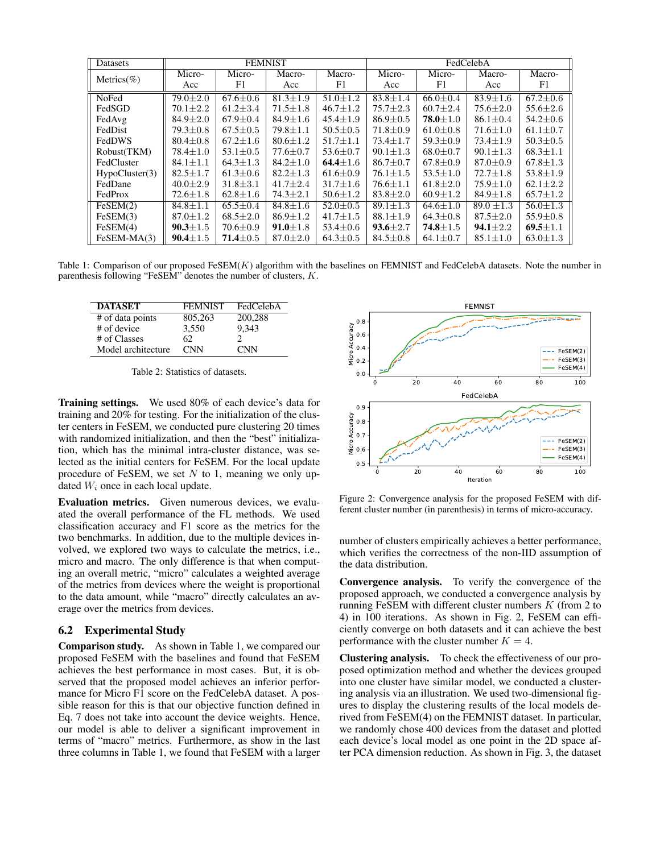<span id="page-5-1"></span>

| Datasets       | <b>FEMNIST</b> |                |                |                | FedCelebA      |                |                |                |
|----------------|----------------|----------------|----------------|----------------|----------------|----------------|----------------|----------------|
| Metrics( $%$ ) | Micro-         | Micro-         | Macro-         | Macro-         | Micro-         | Micro-         | Macro-         | Macro-         |
|                | Acc            | F1             | Acc            | F1             | Acc            | F1             | Acc            | F1             |
| NoFed          | $79.0 + 2.0$   | $67.6 \pm 0.6$ | $81.3 \pm 1.9$ | $51.0 + 1.2$   | $83.8 \pm 1.4$ | $66.0 \pm 0.4$ | $83.9 \pm 1.6$ | $67.2 \pm 0.6$ |
| FedSGD         | $70.1 + 2.2$   | $61.2 \pm 3.4$ | $71.5 \pm 1.8$ | $46.7 \pm 1.2$ | $75.7 \pm 2.3$ | $60.7 \pm 2.4$ | $75.6 \pm 2.0$ | $55.6 \pm 2.6$ |
| FedAvg         | $84.9 \pm 2.0$ | $67.9 \pm 0.4$ | $84.9 \pm 1.6$ | $45.4 \pm 1.9$ | $86.9 \pm 0.5$ | $78.0 \pm 1.0$ | $86.1 \pm 0.4$ | $54.2 \pm 0.6$ |
| FedDist        | $79.3 \pm 0.8$ | $67.5 \pm 0.5$ | $79.8 \pm 1.1$ | $50.5 \pm 0.5$ | $71.8 \pm 0.9$ | $61.0 \pm 0.8$ | $71.6 \pm 1.0$ | $61.1 \pm 0.7$ |
| FedDWS         | $80.4 \pm 0.8$ | $67.2 \pm 1.6$ | $80.6 \pm 1.2$ | $51.7 \pm 1.1$ | $73.4 \pm 1.7$ | $59.3 \pm 0.9$ | $73.4 \pm 1.9$ | $50.3 \pm 0.5$ |
| Robust(TKM)    | $78.4 + 1.0$   | $53.1 \pm 0.5$ | $77.6 \pm 0.7$ | $53.6 \pm 0.7$ | $90.1 \pm 1.3$ | $68.0 \pm 0.7$ | $90.1 \pm 1.3$ | $68.3 \pm 1.1$ |
| FedCluster     | $84.1 \pm 1.1$ | $64.3 \pm 1.3$ | $84.2 \pm 1.0$ | 64.4 $\pm 1.6$ | $86.7 \pm 0.7$ | $67.8 \pm 0.9$ | $87.0 \pm 0.9$ | $67.8 \pm 1.3$ |
| HypoCluster(3) | $82.5 + 1.7$   | $61.3 \pm 0.6$ | $82.2 \pm 1.3$ | $61.6 \pm 0.9$ | $76.1 \pm 1.5$ | $53.5 \pm 1.0$ | $72.7 + 1.8$   | $53.8 \pm 1.9$ |
| FedDane        | $40.0 \pm 2.9$ | $31.8 \pm 3.1$ | $41.7 \pm 2.4$ | $31.7 \pm 1.6$ | $76.6 \pm 1.1$ | $61.8 \pm 2.0$ | $75.9 \pm 1.0$ | $62.1 \pm 2.2$ |
| FedProx        | $72.6 \pm 1.8$ | $62.8 \pm 1.6$ | $74.3 \pm 2.1$ | $50.6 \pm 1.2$ | $83.8 \pm 2.0$ | $60.9 \pm 1.2$ | $84.9 \pm 1.8$ | $65.7 \pm 1.2$ |
| FeSEM(2)       | $84.8 + 1.1$   | $65.5 + 0.4$   | $84.8 + 1.6$   | $52.0 + 0.5$   | $89.1 + 1.3$   | $64.6 + 1.0$   | $89.0 \pm 1.3$ | $56.0 \pm 1.3$ |
| FeSEM(3)       | $87.0 \pm 1.2$ | $68.5 \pm 2.0$ | $86.9 \pm 1.2$ | $41.7 \pm 1.5$ | $88.1 \pm 1.9$ | $64.3 \pm 0.8$ | $87.5 \pm 2.0$ | $55.9 \pm 0.8$ |
| FeSEM(4)       | $90.3 \pm 1.5$ | $70.6 \pm 0.9$ | $91.0 \pm 1.8$ | $53.4 \pm 0.6$ | $93.6 \pm 2.7$ | $74.8 \pm 1.5$ | $94.1 \pm 2.2$ | $69.5 \pm 1.1$ |
| $FeSEM-MA(3)$  | $90.4 \pm 1.5$ | $71.4 \pm 0.5$ | $87.0 \pm 2.0$ | $64.3 \pm 0.5$ | $84.5 \pm 0.8$ | $64.1 \pm 0.7$ | $85.1 \pm 1.0$ | $63.0 \pm 1.3$ |

Table 1: Comparison of our proposed FeSEM $(K)$  algorithm with the baselines on FEMNIST and FedCelebA datasets. Note the number in parenthesis following "FeSEM" denotes the number of clusters, K.

<span id="page-5-0"></span>

| <b>DATASET</b>     | <b>FEMNIST</b> | FedCelebA  |
|--------------------|----------------|------------|
| # of data points   | 805,263        | 200,288    |
| # of device        | 3,550          | 9.343      |
| # of Classes       | 62.            |            |
| Model architecture | <b>CNN</b>     | <b>CNN</b> |

Table 2: Statistics of datasets.

Training settings. We used 80% of each device's data for training and 20% for testing. For the initialization of the cluster centers in FeSEM, we conducted pure clustering 20 times with randomized initialization, and then the "best" initialization, which has the minimal intra-cluster distance, was selected as the initial centers for FeSEM. For the local update procedure of FeSEM, we set  $N$  to 1, meaning we only updated  $W_i$  once in each local update.

Evaluation metrics. Given numerous devices, we evaluated the overall performance of the FL methods. We used classification accuracy and F1 score as the metrics for the two benchmarks. In addition, due to the multiple devices involved, we explored two ways to calculate the metrics, i.e., micro and macro. The only difference is that when computing an overall metric, "micro" calculates a weighted average of the metrics from devices where the weight is proportional to the data amount, while "macro" directly calculates an average over the metrics from devices.

#### 6.2 Experimental Study

Comparison study. As shown in Table [1,](#page-5-1) we compared our proposed FeSEM with the baselines and found that FeSEM achieves the best performance in most cases. But, it is observed that the proposed model achieves an inferior performance for Micro F1 score on the FedCelebA dataset. A possible reason for this is that our objective function defined in Eq. [7](#page-3-4) does not take into account the device weights. Hence, our model is able to deliver a significant improvement in terms of "macro" metrics. Furthermore, as show in the last three columns in Table [1,](#page-5-1) we found that FeSEM with a larger

<span id="page-5-2"></span>

Figure 2: Convergence analysis for the proposed FeSEM with different cluster number (in parenthesis) in terms of micro-accuracy.

number of clusters empirically achieves a better performance, which verifies the correctness of the non-IID assumption of the data distribution.

Convergence analysis. To verify the convergence of the proposed approach, we conducted a convergence analysis by running FeSEM with different cluster numbers  $K$  (from 2 to 4) in 100 iterations. As shown in Fig. [2,](#page-5-2) FeSEM can efficiently converge on both datasets and it can achieve the best performance with the cluster number  $K = 4$ .

Clustering analysis. To check the effectiveness of our proposed optimization method and whether the devices grouped into one cluster have similar model, we conducted a clustering analysis via an illustration. We used two-dimensional figures to display the clustering results of the local models derived from FeSEM(4) on the FEMNIST dataset. In particular, we randomly chose 400 devices from the dataset and plotted each device's local model as one point in the 2D space after PCA dimension reduction. As shown in Fig. [3,](#page-6-8) the dataset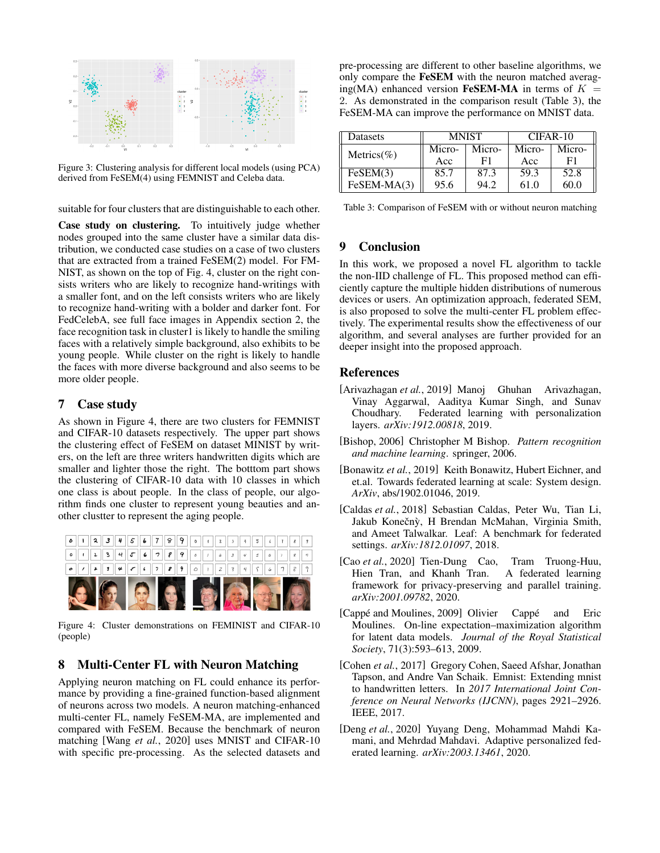<span id="page-6-8"></span>

Figure 3: Clustering analysis for different local models (using PCA) derived from FeSEM(4) using FEMNIST and Celeba data.

suitable for four clusters that are distinguishable to each other.

Case study on clustering. To intuitively judge whether nodes grouped into the same cluster have a similar data distribution, we conducted case studies on a case of two clusters that are extracted from a trained FeSEM(2) model. For FM-NIST, as shown on the top of Fig. [4,](#page-6-9) cluster on the right consists writers who are likely to recognize hand-writings with a smaller font, and on the left consists writers who are likely to recognize hand-writing with a bolder and darker font. For FedCelebA, see full face images in Appendix section 2, the face recognition task in cluster1 is likely to handle the smiling faces with a relatively simple background, also exhibits to be young people. While cluster on the right is likely to handle the faces with more diverse background and also seems to be more older people.

# 7 Case study

As shown in Figure [4,](#page-6-9) there are two clusters for FEMNIST and CIFAR-10 datasets respectively. The upper part shows the clustering effect of FeSEM on dataset MINIST by writers, on the left are three writers handwritten digits which are smaller and lighter those the right. The botttom part shows the clustering of CIFAR-10 data with 10 classes in which one class is about people. In the class of people, our algorithm finds one cluster to represent young beauties and another clustter to represent the aging people.

<span id="page-6-9"></span>

Figure 4: Cluster demonstrations on FEMINIST and CIFAR-10 (people)

# 8 Multi-Center FL with Neuron Matching

Applying neuron matching on FL could enhance its performance by providing a fine-grained function-based alignment of neurons across two models. A neuron matching-enhanced multi-center FL, namely FeSEM-MA, are implemented and compared with FeSEM. Because the benchmark of neuron matching [Wang *et al.*[, 2020\]](#page-8-6) uses MNIST and CIFAR-10 with specific pre-processing. As the selected datasets and

pre-processing are different to other baseline algorithms, we only compare the FeSEM with the neuron matched averaging(MA) enhanced version FeSEM-MA in terms of  $K =$ 2. As demonstrated in the comparison result (Table [3\)](#page-6-10), the FeSEM-MA can improve the performance on MNIST data.

<span id="page-6-10"></span>

| Datasets      |        | <b>MNIST</b> | $CIFAR-10$ |        |  |
|---------------|--------|--------------|------------|--------|--|
| Metrics(%)    | Micro- | Micro-       | Micro-     | Micro- |  |
|               | Acc    | F1           | Acc        | F1     |  |
| FeSEM(3)      | 85.7   | 87.3         | 59.3       | 52.8   |  |
| $FeSEM-MA(3)$ | 95.6   | 94.2         | 61.0       | 60.0   |  |

Table 3: Comparison of FeSEM with or without neuron matching

# 9 Conclusion

In this work, we proposed a novel FL algorithm to tackle the non-IID challenge of FL. This proposed method can efficiently capture the multiple hidden distributions of numerous devices or users. An optimization approach, federated SEM, is also proposed to solve the multi-center FL problem effectively. The experimental results show the effectiveness of our algorithm, and several analyses are further provided for an deeper insight into the proposed approach.

# References

- <span id="page-6-3"></span>[Arivazhagan *et al.*, 2019] Manoj Ghuhan Arivazhagan, Vinay Aggarwal, Aaditya Kumar Singh, and Sunav Choudhary. Federated learning with personalization layers. *arXiv:1912.00818*, 2019.
- <span id="page-6-5"></span>[Bishop, 2006] Christopher M Bishop. *Pattern recognition and machine learning*. springer, 2006.
- <span id="page-6-0"></span>[Bonawitz *et al.*, 2019] Keith Bonawitz, Hubert Eichner, and et.al. Towards federated learning at scale: System design. *ArXiv*, abs/1902.01046, 2019.
- <span id="page-6-2"></span>[Caldas *et al.*, 2018] Sebastian Caldas, Peter Wu, Tian Li, Jakub Konečnỳ, H Brendan McMahan, Virginia Smith, and Ameet Talwalkar. Leaf: A benchmark for federated settings. *arXiv:1812.01097*, 2018.
- <span id="page-6-1"></span>[Cao *et al.*, 2020] Tien-Dung Cao, Tram Truong-Huu, Hien Tran, and Khanh Tran. A federated learning framework for privacy-preserving and parallel training. *arXiv:2001.09782*, 2020.
- <span id="page-6-6"></span>[Cappé and Moulines, 2009] Olivier Cappé and Eric Moulines. On-line expectation–maximization algorithm for latent data models. *Journal of the Royal Statistical Society*, 71(3):593–613, 2009.
- <span id="page-6-7"></span>[Cohen *et al.*, 2017] Gregory Cohen, Saeed Afshar, Jonathan Tapson, and Andre Van Schaik. Emnist: Extending mnist to handwritten letters. In *2017 International Joint Conference on Neural Networks (IJCNN)*, pages 2921–2926. IEEE, 2017.
- <span id="page-6-4"></span>[Deng *et al.*, 2020] Yuyang Deng, Mohammad Mahdi Kamani, and Mehrdad Mahdavi. Adaptive personalized federated learning. *arXiv:2003.13461*, 2020.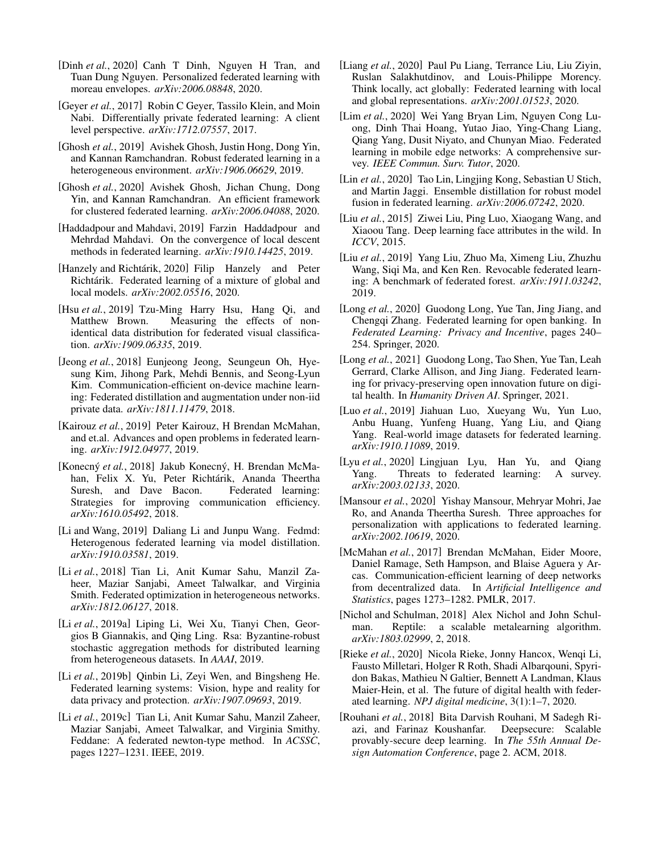- <span id="page-7-22"></span>[Dinh *et al.*, 2020] Canh T Dinh, Nguyen H Tran, and Tuan Dung Nguyen. Personalized federated learning with moreau envelopes. *arXiv:2006.08848*, 2020.
- <span id="page-7-7"></span>[Geyer et al., 2017] Robin C Geyer, Tassilo Klein, and Moin Nabi. Differentially private federated learning: A client level perspective. *arXiv:1712.07557*, 2017.
- <span id="page-7-1"></span>[Ghosh *et al.*, 2019] Avishek Ghosh, Justin Hong, Dong Yin, and Kannan Ramchandran. Robust federated learning in a heterogeneous environment. *arXiv:1906.06629*, 2019.
- <span id="page-7-5"></span>[Ghosh *et al.*, 2020] Avishek Ghosh, Jichan Chung, Dong Yin, and Kannan Ramchandran. An efficient framework for clustered federated learning. *arXiv:2006.04088*, 2020.
- <span id="page-7-15"></span>[Haddadpour and Mahdavi, 2019] Farzin Haddadpour and Mehrdad Mahdavi. On the convergence of local descent methods in federated learning. *arXiv:1910.14425*, 2019.
- <span id="page-7-23"></span>[Hanzely and Richtarik, 2020] Filip Hanzely and Peter Richtárik. Federated learning of a mixture of global and local models. *arXiv:2002.05516*, 2020.
- <span id="page-7-16"></span>[Hsu *et al.*, 2019] Tzu-Ming Harry Hsu, Hang Qi, and Matthew Brown. Measuring the effects of nonidentical data distribution for federated visual classification. *arXiv:1909.06335*, 2019.
- <span id="page-7-19"></span>[Jeong *et al.*, 2018] Eunjeong Jeong, Seungeun Oh, Hyesung Kim, Jihong Park, Mehdi Bennis, and Seong-Lyun Kim. Communication-efficient on-device machine learning: Federated distillation and augmentation under non-iid private data. *arXiv:1811.11479*, 2018.
- <span id="page-7-13"></span>[Kairouz et al., 2019] Peter Kairouz, H Brendan McMahan, and et.al. Advances and open problems in federated learning. *arXiv:1912.04977*, 2019.
- <span id="page-7-6"></span>[Konecný et al., 2018] Jakub Konecný, H. Brendan McMahan, Felix X. Yu, Peter Richtárik, Ananda Theertha Suresh, and Dave Bacon. Federated learning: Strategies for improving communication efficiency. *arXiv:1610.05492*, 2018.
- <span id="page-7-18"></span>[Li and Wang, 2019] Daliang Li and Junpu Wang. Fedmd: Heterogenous federated learning via model distillation. *arXiv:1910.03581*, 2019.
- <span id="page-7-2"></span>[Li *et al.*, 2018] Tian Li, Anit Kumar Sahu, Manzil Zaheer, Maziar Sanjabi, Ameet Talwalkar, and Virginia Smith. Federated optimization in heterogeneous networks. *arXiv:1812.06127*, 2018.
- <span id="page-7-21"></span>[Li et al., 2019a] Liping Li, Wei Xu, Tianyi Chen, Georgios B Giannakis, and Qing Ling. Rsa: Byzantine-robust stochastic aggregation methods for distributed learning from heterogeneous datasets. In *AAAI*, 2019.
- <span id="page-7-11"></span>[Li *et al.*, 2019b] Qinbin Li, Zeyi Wen, and Bingsheng He. Federated learning systems: Vision, hype and reality for data privacy and protection. *arXiv:1907.09693*, 2019.
- <span id="page-7-3"></span>[Li *et al.*, 2019c] Tian Li, Anit Kumar Sahu, Manzil Zaheer, Maziar Sanjabi, Ameet Talwalkar, and Virginia Smithy. Feddane: A federated newton-type method. In *ACSSC*, pages 1227–1231. IEEE, 2019.
- <span id="page-7-17"></span>[Liang *et al.*, 2020] Paul Pu Liang, Terrance Liu, Liu Ziyin, Ruslan Salakhutdinov, and Louis-Philippe Morency. Think locally, act globally: Federated learning with local and global representations. *arXiv:2001.01523*, 2020.
- <span id="page-7-10"></span>[Lim *et al.*, 2020] Wei Yang Bryan Lim, Nguyen Cong Luong, Dinh Thai Hoang, Yutao Jiao, Ying-Chang Liang, Qiang Yang, Dusit Niyato, and Chunyan Miao. Federated learning in mobile edge networks: A comprehensive survey. *IEEE Commun. Surv. Tutor*, 2020.
- <span id="page-7-20"></span>[Lin *et al.*, 2020] Tao Lin, Lingjing Kong, Sebastian U Stich, and Martin Jaggi. Ensemble distillation for robust model fusion in federated learning. *arXiv:2006.07242*, 2020.
- <span id="page-7-24"></span>[Liu *et al.*, 2015] Ziwei Liu, Ping Luo, Xiaogang Wang, and Xiaoou Tang. Deep learning face attributes in the wild. In *ICCV*, 2015.
- <span id="page-7-9"></span>[Liu *et al.*, 2019] Yang Liu, Zhuo Ma, Ximeng Liu, Zhuzhu Wang, Siqi Ma, and Ken Ren. Revocable federated learning: A benchmark of federated forest. *arXiv:1911.03242*, 2019.
- [Long *et al.*, 2020] Guodong Long, Yue Tan, Jing Jiang, and Chengqi Zhang. Federated learning for open banking. In *Federated Learning: Privacy and Incentive*, pages 240– 254. Springer, 2020.
- [Long *et al.*, 2021] Guodong Long, Tao Shen, Yue Tan, Leah Gerrard, Clarke Allison, and Jing Jiang. Federated learning for privacy-preserving open innovation future on digital health. In *Humanity Driven AI*. Springer, 2021.
- <span id="page-7-14"></span>[Luo *et al.*, 2019] Jiahuan Luo, Xueyang Wu, Yun Luo, Anbu Huang, Yunfeng Huang, Yang Liu, and Qiang Yang. Real-world image datasets for federated learning. *arXiv:1910.11089*, 2019.
- <span id="page-7-12"></span>[Lyu *et al.*, 2020] Lingjuan Lyu, Han Yu, and Qiang Yang. Threats to federated learning: A survey. *arXiv:2003.02133*, 2020.
- <span id="page-7-4"></span>[Mansour *et al.*, 2020] Yishay Mansour, Mehryar Mohri, Jae Ro, and Ananda Theertha Suresh. Three approaches for personalization with applications to federated learning. *arXiv:2002.10619*, 2020.
- <span id="page-7-0"></span>[McMahan *et al.*, 2017] Brendan McMahan, Eider Moore, Daniel Ramage, Seth Hampson, and Blaise Aguera y Arcas. Communication-efficient learning of deep networks from decentralized data. In *Artificial Intelligence and Statistics*, pages 1273–1282. PMLR, 2017.
- <span id="page-7-25"></span>[Nichol and Schulman, 2018] Alex Nichol and John Schulman. Reptile: a scalable metalearning algorithm. *arXiv:1803.02999*, 2, 2018.
- [Rieke *et al.*, 2020] Nicola Rieke, Jonny Hancox, Wenqi Li, Fausto Milletari, Holger R Roth, Shadi Albarqouni, Spyridon Bakas, Mathieu N Galtier, Bennett A Landman, Klaus Maier-Hein, et al. The future of digital health with federated learning. *NPJ digital medicine*, 3(1):1–7, 2020.
- <span id="page-7-8"></span>[Rouhani *et al.*, 2018] Bita Darvish Rouhani, M Sadegh Riazi, and Farinaz Koushanfar. Deepsecure: Scalable provably-secure deep learning. In *The 55th Annual Design Automation Conference*, page 2. ACM, 2018.